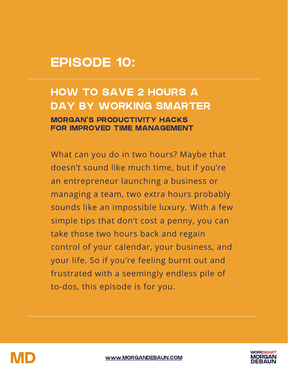# EPISODE 10:

## HOW TO SAVE 2 HOURS A DAY BY WORKING SMARTER

#### MORGAN'S PRODUCTIVITY HACKS FOR IMPROVED TIME MANAGEMENT

What can you do in two hours? Maybe that doesn't sound like much time, but if you're an entrepreneur launching a business or managing a team, two extra hours probably sounds like an impossible luxury. With a few simple tips that don't cost a penny, you can take those two hours back and regain control of your calendar, your business, and your life. So if you're feeling burnt out and frustrated with a seemingly endless pile of to-dos, this episode is for you.



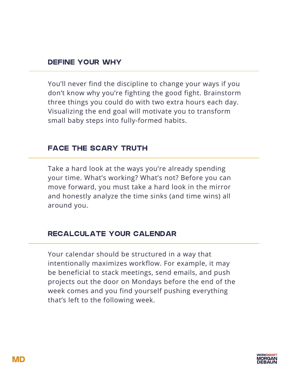#### DEFINE YOUR WHY

You'll never find the discipline to change your ways if you don't know why you're fighting the good fight. Brainstorm three things you could do with two extra hours each day. Visualizing the end goal will motivate you to transform small baby steps into fully-formed habits.

#### FACE THE SCARY TRUTH

Take a hard look at the ways you're already spending your time. What's working? What's not? Before you can move forward, you must take a hard look in the mirror and honestly analyze the time sinks (and time wins) all around you.

#### RECALCULATE YOUR CALENDAR

Your calendar should be structured in a way that intentionally maximizes workflow. For example, it may be beneficial to stack meetings, send emails, and push projects out the door on Mondays before the end of the week comes and you find yourself pushing everything that's left to the following week.

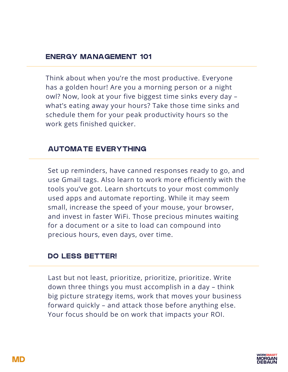#### ENERGY MANAGEMENT 101

Think about when you're the most productive. Everyone has a golden hour! Are you a morning person or a night owl? Now, look at your five biggest time sinks every day – what's eating away your hours? Take those time sinks and schedule them for your peak productivity hours so the work gets finished quicker.

#### AUTOMATE EVERYTHING

Set up reminders, have canned responses ready to go, and use Gmail tags. Also learn to work more efficiently with the tools you've got. Learn shortcuts to your most commonly used apps and automate reporting. While it may seem small, increase the speed of your mouse, your browser, and invest in faster WiFi. Those precious minutes waiting for a document or a site to load can compound into precious hours, even days, over time.

#### DO LESS BETTER!

Last but not least, prioritize, prioritize, prioritize. Write down three things you must accomplish in a day – think big picture strategy items, work that moves your business forward quickly – and attack those before anything else. Your focus should be on work that impacts your ROI.

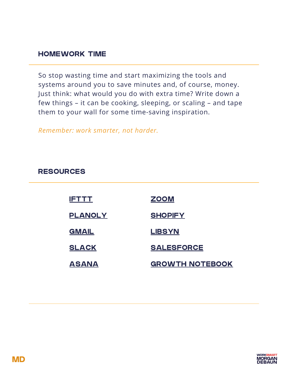#### HOMEWORK TIME

So stop wasting time and start maximizing the tools and systems around you to save minutes and, of course, money. Just think: what would you do with extra time? Write down a few things – it can be cooking, sleeping, or scaling – and tape them to your wall for some time-saving inspiration.

*Remember: work smarter, not harder.*

#### RESOURCES

| <u>IETTT</u>   | <b>ZOOM</b>            |
|----------------|------------------------|
| <b>PLANOLY</b> | <b>SHOPIFY</b>         |
| <b>GMAIL</b>   | <b>LIBSYN</b>          |
| <b>SLACK</b>   | <b>SALESFORCE</b>      |
| <b>ASANA</b>   | <b>GROWTH NOTEBOOK</b> |